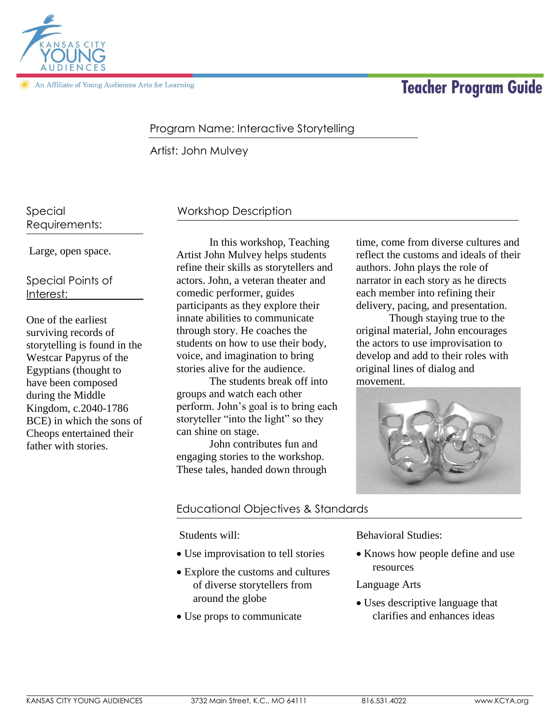

An Affiliate of Young Audiences Arts for Learning

# **Teacher Program Guide**

# Program Name: Interactive Storytelling

Artist: John Mulvey

Special Requirements:

Large, open space.

Special Points of Interest:

One of the earliest surviving records of storytelling is found in the Westcar Papyrus of the Egyptians (thought to have been composed during the Middle Kingdom, c.2040-1786 BCE) in which the sons of Cheops entertained their father with stories.

# Workshop Description

In this workshop, Teaching Artist John Mulvey helps students refine their skills as storytellers and actors. John, a veteran theater and comedic performer, guides participants as they explore their innate abilities to communicate through story. He coaches the students on how to use their body, voice, and imagination to bring stories alive for the audience.

The students break off into groups and watch each other perform. John's goal is to bring each storyteller "into the light" so they can shine on stage.

John contributes fun and engaging stories to the workshop. These tales, handed down through time, come from diverse cultures and reflect the customs and ideals of their authors. John plays the role of narrator in each story as he directs each member into refining their delivery, pacing, and presentation.

Though staying true to the original material, John encourages the actors to use improvisation to develop and add to their roles with original lines of dialog and movement.



## Educational Objectives & Standards

Students will:

- Use improvisation to tell stories
- Explore the customs and cultures of diverse storytellers from around the globe
- Use props to communicate

Behavioral Studies:

• Knows how people define and use resources

#### Language Arts

 Uses descriptive language that clarifies and enhances ideas